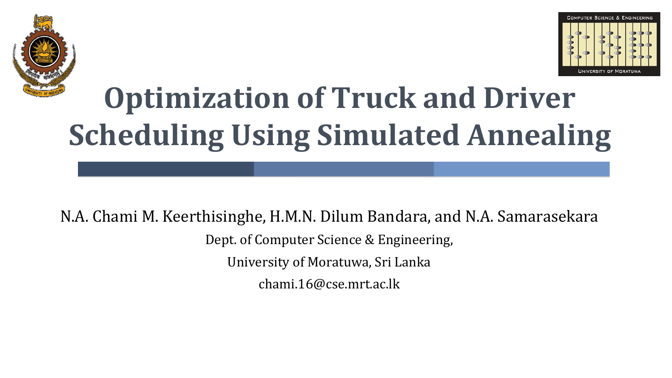



# **Optimization of Truck and Driver Scheduling Using Simulated Annealing**

N.A. Chami M. Keerthisinghe, H.M.N. Dilum Bandara, and N.A. Samarasekara Dept. of Computer Science & Engineering, University of Moratuwa, Sri Lanka chami.16@cse.mrt.ac.lk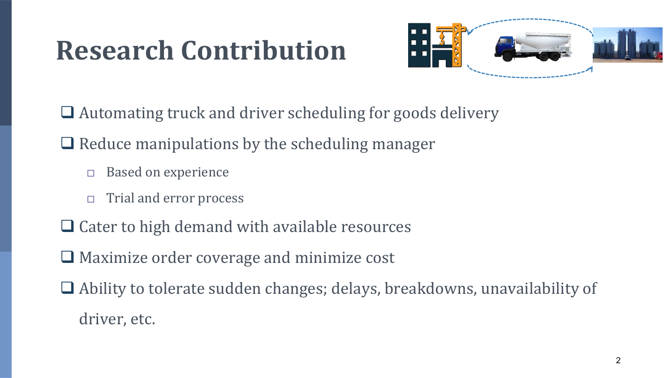### **Research Contribution**



- ❑ Automating truck and driver scheduling for goods delivery
- $\Box$  Reduce manipulations by the scheduling manager
	- □ Based on experience
	- □ Trial and error process
- ❑ Cater to high demand with available resources
- ❑ Maximize order coverage and minimize cost
- ❑ Ability to tolerate sudden changes; delays, breakdowns, unavailability of driver, etc.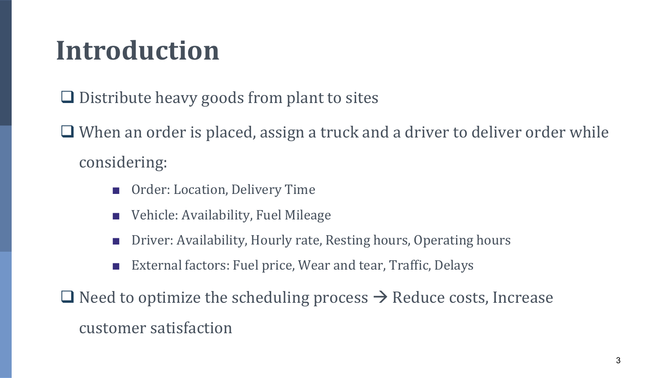#### **Introduction**

❑ Distribute heavy goods from plant to sites

❑ When an order is placed, assign a truck and a driver to deliver order while considering:

- Order: Location, Delivery Time
- Vehicle: Availability, Fuel Mileage
- Driver: Availability, Hourly rate, Resting hours, Operating hours
- External factors: Fuel price, Wear and tear, Traffic, Delays

 $\Box$  Need to optimize the scheduling process  $\rightarrow$  Reduce costs, Increase customer satisfaction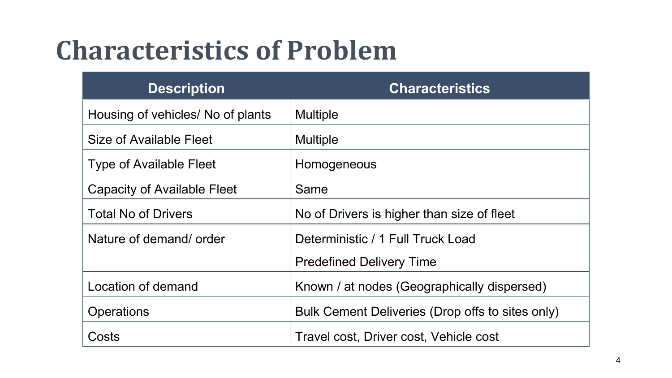### **Characteristics of Problem**

| <b>Description</b>                | <b>Characteristics</b>                           |
|-----------------------------------|--------------------------------------------------|
| Housing of vehicles/ No of plants | <b>Multiple</b>                                  |
| Size of Available Fleet           | <b>Multiple</b>                                  |
| <b>Type of Available Fleet</b>    | Homogeneous                                      |
| Capacity of Available Fleet       | Same                                             |
| <b>Total No of Drivers</b>        | No of Drivers is higher than size of fleet       |
| Nature of demand/order            | Deterministic / 1 Full Truck Load                |
|                                   | <b>Predefined Delivery Time</b>                  |
| Location of demand                | Known / at nodes (Geographically dispersed)      |
| <b>Operations</b>                 | Bulk Cement Deliveries (Drop offs to sites only) |
| Costs                             | Travel cost, Driver cost, Vehicle cost           |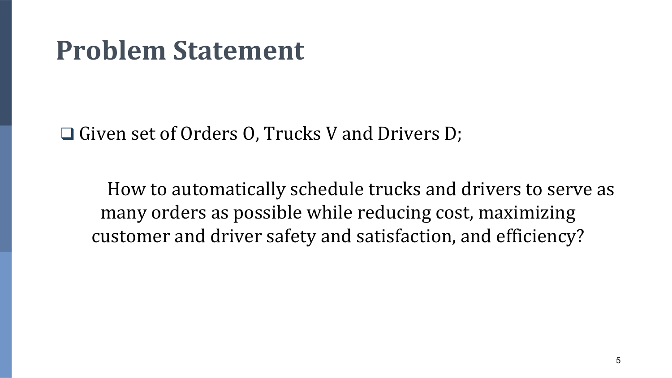#### **Problem Statement**

❑ Given set of Orders O, Trucks V and Drivers D;

How to automatically schedule trucks and drivers to serve as many orders as possible while reducing cost, maximizing customer and driver safety and satisfaction, and efficiency?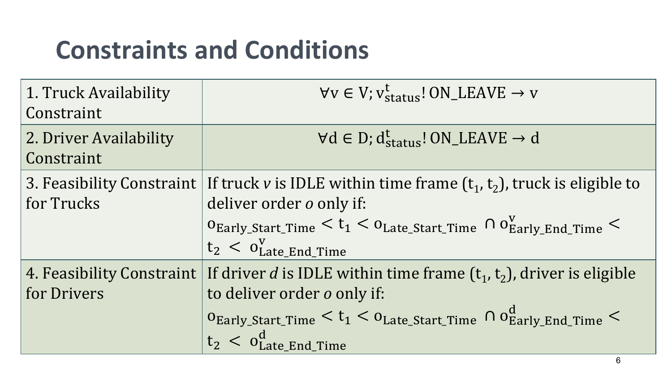#### **Constraints and Conditions**

| 1. Truck Availability<br>Constraint      | $\forall v \in V; v_{\text{status}}^t$ ! ON_LEAVE $\rightarrow v$                                                                                                                                                                                                       |
|------------------------------------------|-------------------------------------------------------------------------------------------------------------------------------------------------------------------------------------------------------------------------------------------------------------------------|
| 2. Driver Availability<br>Constraint     | $\forall d \in D$ ; $d_{status}^t$ ! ON_LEAVE $\rightarrow d$                                                                                                                                                                                                           |
| 3. Feasibility Constraint<br>for Trucks  | If truck v is IDLE within time frame $(t_1, t_2)$ , truck is eligible to<br>deliver order o only if:<br>$0_{\rm Early\_Start\_Time} < t_1 < 0_{\rm Late\_Start\_Time} \cap 0_{\rm Early\_End\ Time}^{\rm V} < 1$<br>$t_2$ < $0_{\text{Late\_End\_Time}}^V$              |
| 4. Feasibility Constraint<br>for Drivers | If driver d is IDLE within time frame $(t_1, t_2)$ , driver is eligible<br>to deliver order o only if:<br>$0_{\text{Early\_Start\_Time}} < t_1 < 0_{\text{Later\_Start\_Time}} \cap 0_{\text{Early\_End\_Time}}^{\alpha} < 1$<br>$t_2$ < $o_{\text{Late\_End\_Time}}^d$ |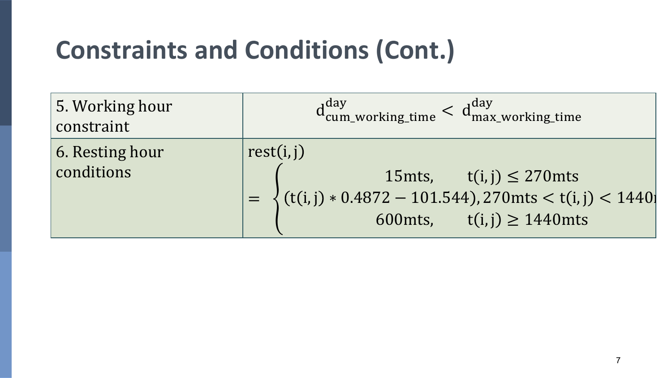#### **Constraints and Conditions (Cont.)**

| 5. Working hour<br>constraint         | $d_{cum\_working\_time}^{day} < d_{max\_working\_time}^{day}$                                                                                                |
|---------------------------------------|--------------------------------------------------------------------------------------------------------------------------------------------------------------|
| $\vert$ 6. Resting hour<br>conditions | rest(i, j)<br>15mts, $t(i, j) \leq 270$ mts<br>= $\left\{ (t(i,j) * 0.4872 - 101.544), 270 \right  t(i,j) < 1440 \right\}$<br>600mts, $t(i, j) \ge 1440$ mts |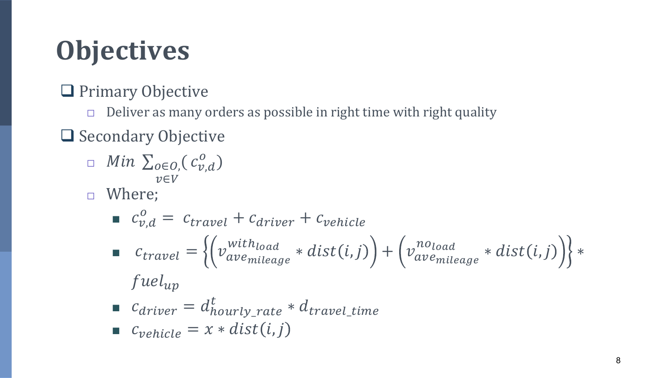## **Objectives**

❑ Primary Objective

□ Deliver as many orders as possible in right time with right quality

❑ Secondary Objective

- $\Box$  Min  $\sum_{o\in O}$ ,  $(c_{v,d}^o)$  $v \in V$
- □ Where;

■ 
$$
c_{v,d}^o = c_{travel} + c_{driver} + c_{vehicle}
$$
  
\n■  $c_{travel} = \left\{ \left( v_{average}^{withload} * dist(i, j) \right) + \left( v_{average}^{noload} * dist(i, j) \right) \right\} *$   
\n*fuel<sub>up</sub>*

$$
\blacksquare \quad c_{driver} = d_{hourly\_rate}^t * d_{travel\_time}
$$

$$
\bullet \quad c_{\text{vehicle}} = x * dist(i, j)
$$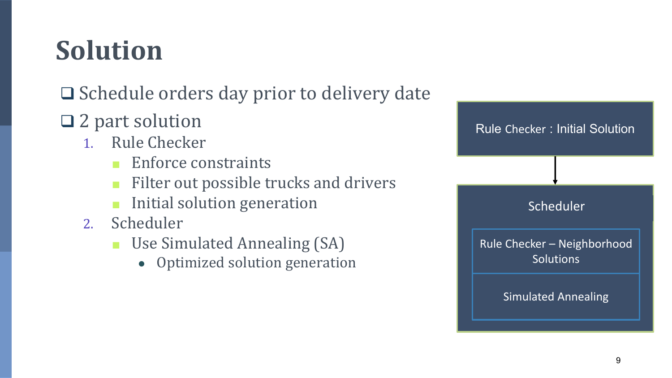## **Solution**

#### ❑ Schedule orders day prior to delivery date

- ❑ 2 part solution
	- 1. Rule Checker
		- Enforce constraints
		- Filter out possible trucks and drivers
		- Initial solution generation
	- 2. Scheduler
		- Use Simulated Annealing (SA)
			- Optimized solution generation

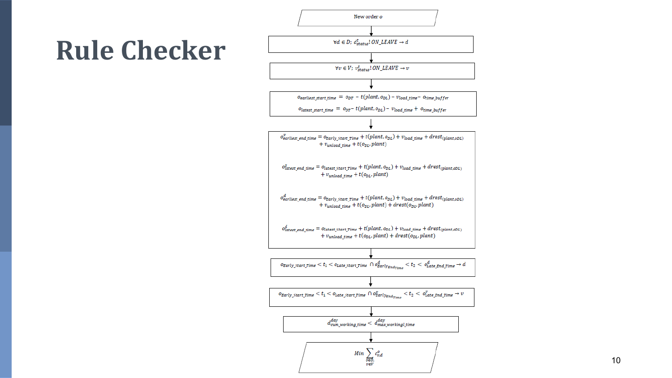## **Rule Checker**



10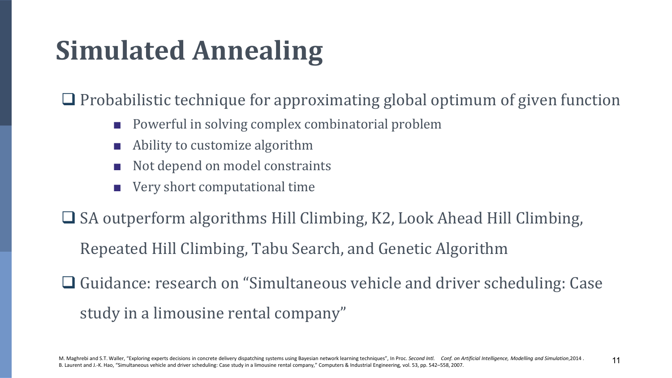## **Simulated Annealing**

❑ Probabilistic technique for approximating global optimum of given function

- Powerful in solving complex combinatorial problem
- Ability to customize algorithm
- Not depend on model constraints
- Very short computational time

❑ SA outperform algorithms Hill Climbing, K2, Look Ahead Hill Climbing,

Repeated Hill Climbing, Tabu Search, and Genetic Algorithm

❑ Guidance: research on "Simultaneous vehicle and driver scheduling: Case study in a limousine rental company"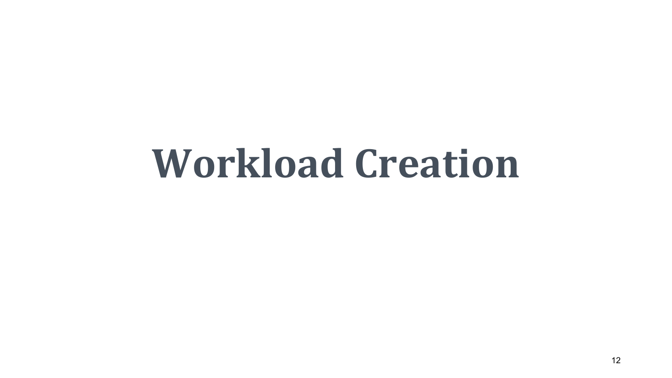# **Workload Creation**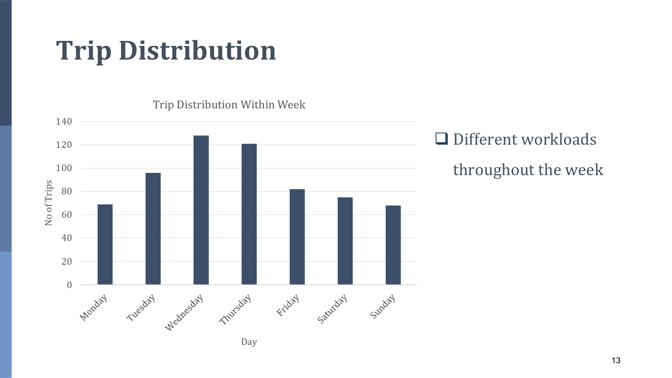#### **Trip Distribution**



Trip Distribution Within Week

❑ Different workloads throughout the week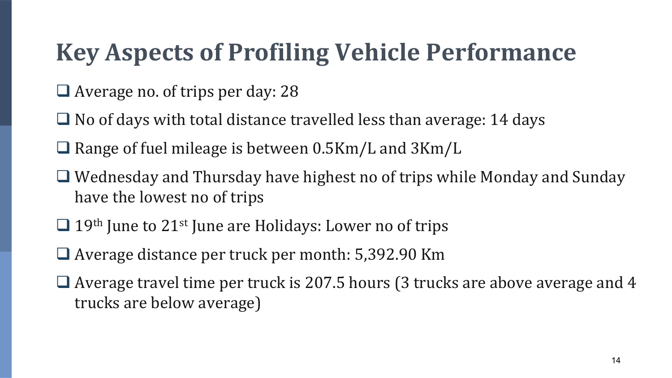#### **Key Aspects of Profiling Vehicle Performance**

- ❑ Average no. of trips per day: 28
- $\Box$  No of days with total distance travelled less than average: 14 days
- ❑ Range of fuel mileage is between 0.5Km/L and 3Km/L
- ❑ Wednesday and Thursday have highest no of trips while Monday and Sunday have the lowest no of trips
- $\Box$  19<sup>th</sup> June to 21<sup>st</sup> June are Holidays: Lower no of trips
- ❑ Average distance per truck per month: 5,392.90 Km
- $\Box$  Average travel time per truck is 207.5 hours (3 trucks are above average and 4 trucks are below average)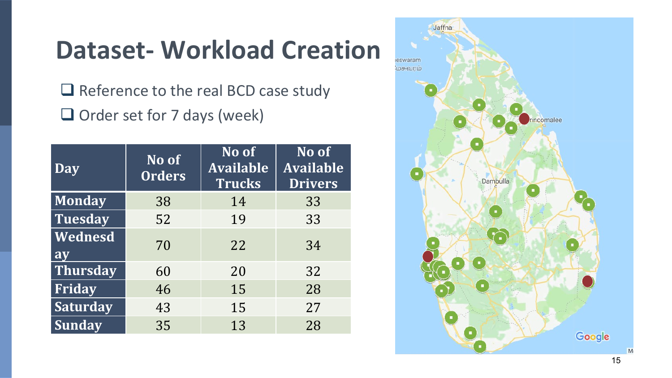#### **Dataset - Workload Creation**

□ Reference to the real BCD case study □ Order set for 7 days (week)

| <b>Day</b>      | No of<br><b>Orders</b> | No of<br><b>Available</b><br><b>Trucks</b> | No of<br><b>Available</b><br><b>Drivers</b> |  |
|-----------------|------------------------|--------------------------------------------|---------------------------------------------|--|
| <b>Monday</b>   | 38                     | 14                                         | 33                                          |  |
| Tuesday         | 52                     | 19                                         | 33                                          |  |
| Wednesd<br>ay   | 70                     | 22                                         | 34                                          |  |
| Thursday        | 60                     | 20                                         | 32                                          |  |
| Friday          | 46                     | 15                                         | 28                                          |  |
| <b>Saturday</b> | 43                     | 15                                         | 27                                          |  |
| <b>Sunday</b>   | 35                     | 13                                         | 28                                          |  |

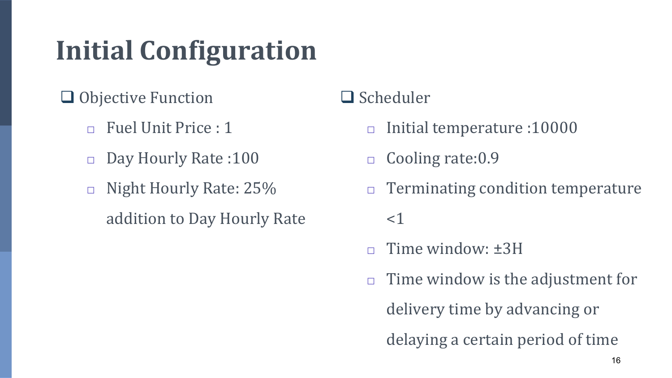### **Initial Configuration**

- ❑ Objective Function
	- □ Fuel Unit Price : 1
	- □ Day Hourly Rate :100
	- □ Night Hourly Rate: 25% addition to Day Hourly Rate

#### ❑ Scheduler

- □ Initial temperature :10000
- □ Cooling rate: 0.9
- $\Box$  Terminating condition temperature
	- $\leq$  1
- Time window:  $\pm 3H$
- $\Box$  Time window is the adjustment for

delivery time by advancing or

delaying a certain period of time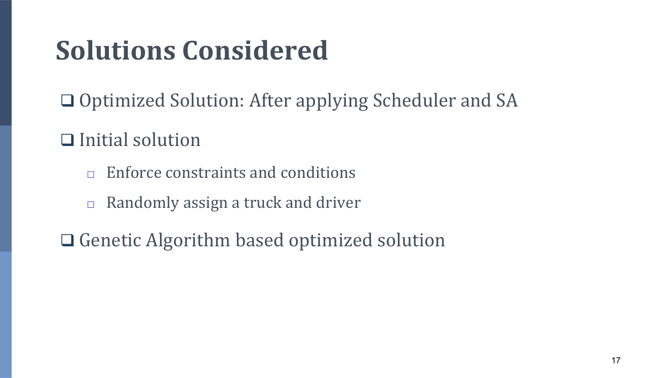## **Solutions Considered**

❑ Optimized Solution: After applying Scheduler and SA

❑ Initial solution

- $\Box$  Enforce constraints and conditions
- $\Box$  Randomly assign a truck and driver
- ❑ Genetic Algorithm based optimized solution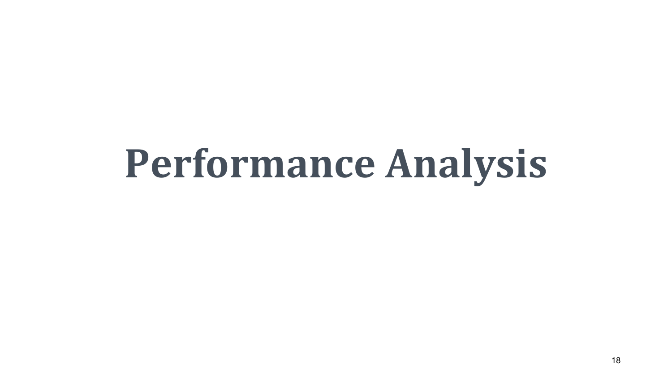# **Performance Analysis**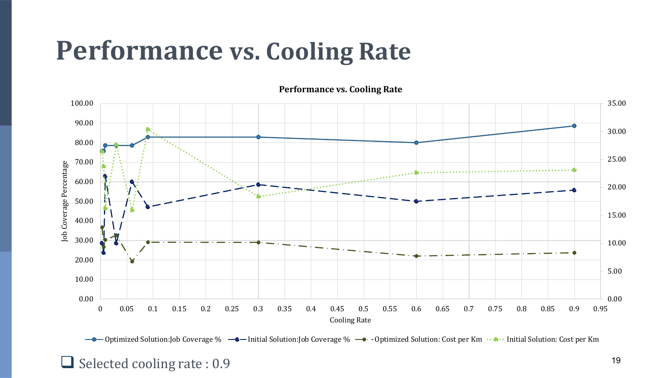#### **Performance vs. Cooling Rate**

**Performance vs. Cooling Rate**



**-●** Optimized Solution:Job Coverage % –● Initial Solution:Job Coverage % –● - Optimized Solution: Cost per Km · ● · Initial Solution: Cost per Km

#### $\Box$  Selected cooling rate : 0.9 19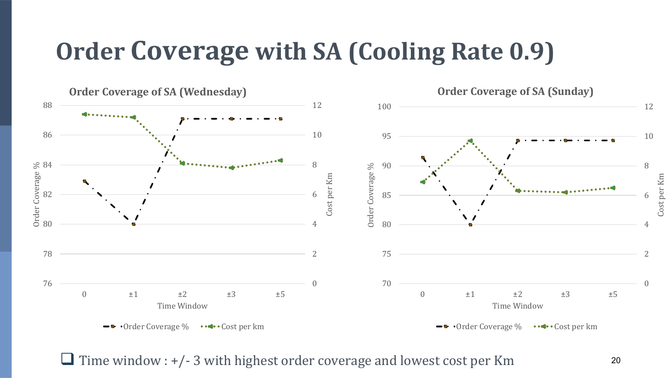#### **Order Coverage with SA (Cooling Rate 0.9)**



 $\Box$  Time window :  $+/- 3$  with highest order coverage and lowest cost per Km  $20$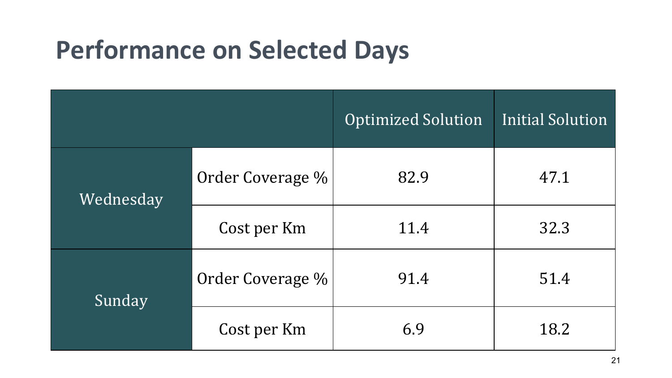#### **Performance on Selected Days**

|           |                  | <b>Optimized Solution</b> | Initial Solution |
|-----------|------------------|---------------------------|------------------|
| Wednesday | Order Coverage % | 82.9                      | 47.1             |
|           | Cost per Km      | 11.4                      | 32.3             |
| Sunday    | Order Coverage % | 91.4                      | 51.4             |
|           | Cost per Km      | 6.9                       | 18.2             |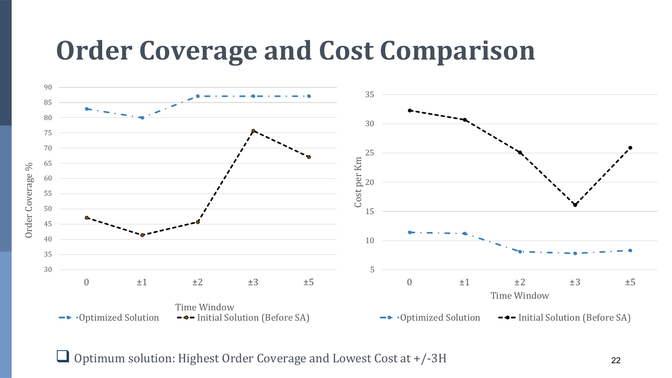#### **Order Coverage and Cost Comparison**



❑ Optimum solution: Highest Order Coverage and Lowest Cost at +/-3H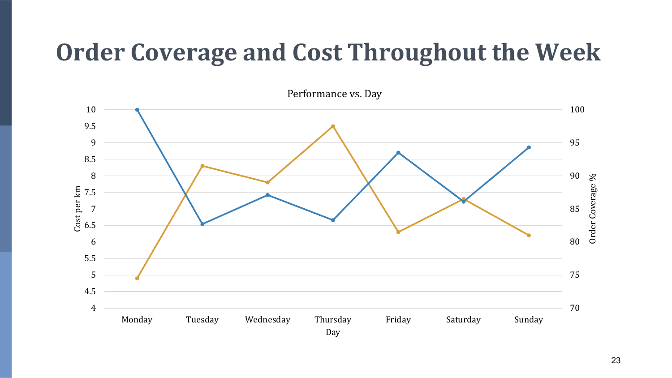#### **Order Coverage and Cost Throughout the Week**

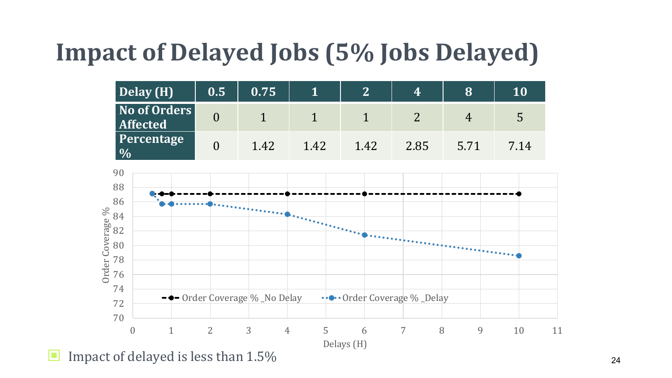#### **Impact of Delayed Jobs (5% Jobs Delayed)**

| Delay (H)                             | 0.5 | 0.75 |      | $\mathcal{L}_1$ | 4    |          | 10   |
|---------------------------------------|-----|------|------|-----------------|------|----------|------|
| No of Orders  <br><b>Affected</b>     |     |      |      |                 |      | $\Delta$ | 5    |
| Percentage<br>$\overline{\frac{0}{}}$ |     | 1.42 | 1.42 | 1.42            | 2.85 | 5 71     | 7.14 |



■ Impact of delayed is less than 1.5%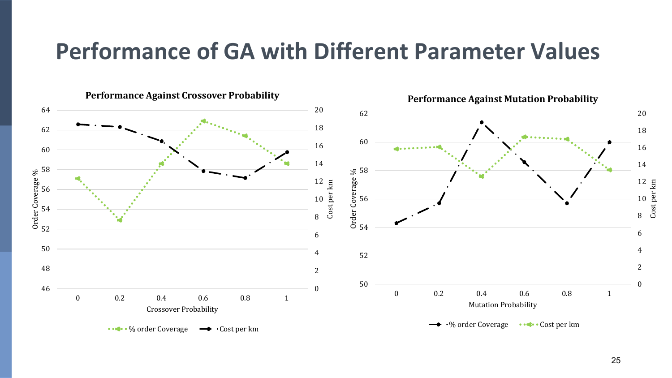#### **Performance of GA with Different Parameter Values**

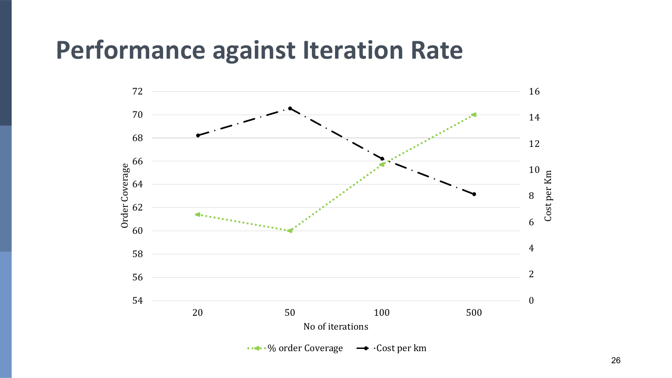#### **Performance against Iteration Rate**

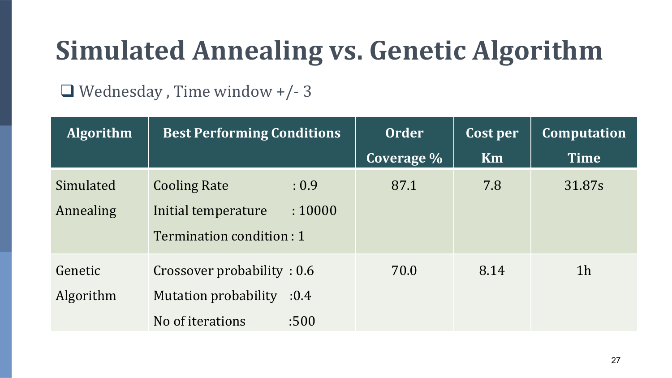### **Simulated Annealing vs. Genetic Algorithm**

#### ❑ Wednesday , Time window +/- 3

| <b>Algorithm</b> | <b>Best Performing Conditions</b> |         | <b>Order</b> | Cost per | <b>Computation</b> |  |
|------------------|-----------------------------------|---------|--------------|----------|--------------------|--|
|                  |                                   |         | Coverage %   | Km       | <b>Time</b>        |  |
| Simulated        | <b>Cooling Rate</b>               | : 0.9   | 87.1         | 7.8      | 31.87s             |  |
| Annealing        | Initial temperature               | : 10000 |              |          |                    |  |
|                  | Termination condition: 1          |         |              |          |                    |  |
| Genetic          | Crossover probability: 0.6        |         | 70.0         | 8.14     | 1 <sub>h</sub>     |  |
| Algorithm        | <b>Mutation probability</b>       | :0.4    |              |          |                    |  |
|                  | No of iterations                  | :500    |              |          |                    |  |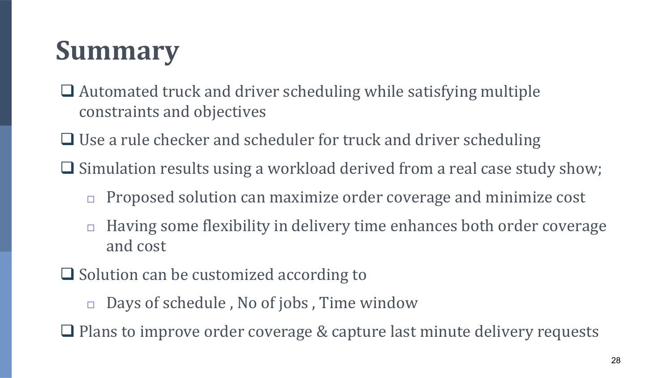## **Summary**

- ❑ Automated truck and driver scheduling while satisfying multiple constraints and objectives
- ❑ Use a rule checker and scheduler for truck and driver scheduling
- ❑ Simulation results using a workload derived from a real case study show;
	- $\Box$  Proposed solution can maximize order coverage and minimize cost
	- $\Box$  Having some flexibility in delivery time enhances both order coverage and cost
- ❑ Solution can be customized according to
	- □ Days of schedule, No of jobs, Time window
- ❑ Plans to improve order coverage & capture last minute delivery requests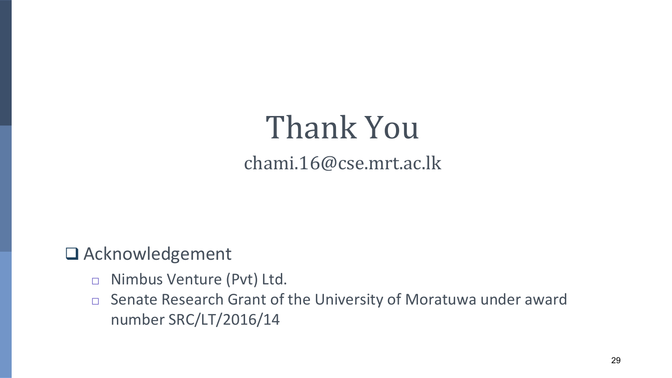#### Thank You chami.16@cse.mrt.ac.lk

❑ Acknowledgement

- □ Nimbus Venture (Pvt) Ltd.
- □ Senate Research Grant of the University of Moratuwa under award number SRC/LT/2016/14